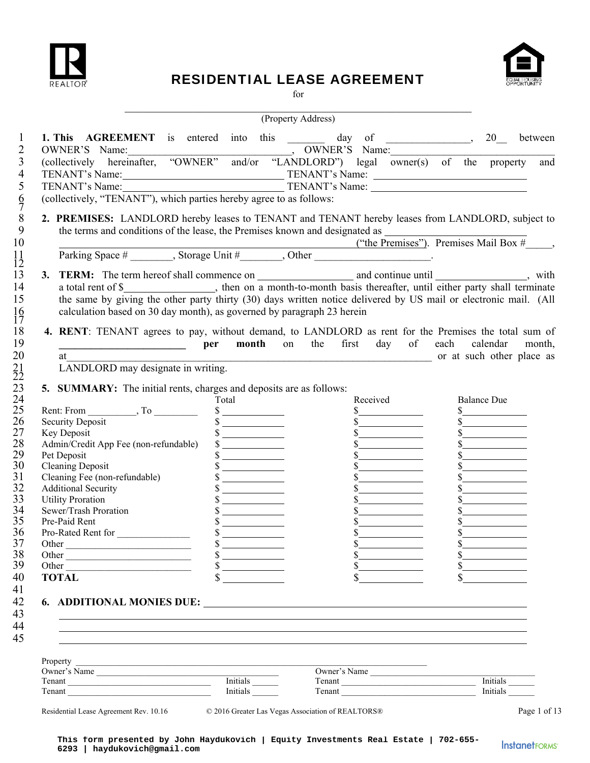

# RESIDENTIAL LEASE AGREEMENT



for

| between<br>Received<br>Total<br><b>Balance Due</b><br>$\frac{\text{S}}{\text{S}}$<br>s<br>$\frac{1}{2}$<br>$\begin{array}{c c} \hline \textbf{S} & \textbf{S} & \textbf{S} \\ \hline \end{array}$<br>s<br>$\frac{\text{S}}{\text{S}}$<br>$\frac{\sqrt{2}}{2}$<br>s<br>s<br>$\frac{\sqrt{2}}{2}$<br>$\frac{\text{S}}{\text{S}}$<br>s<br>$\frac{\text{S}}{\text{S}}$<br>$\frac{1}{2}$<br>$\frac{\sqrt{2}}{2}$<br>$\frac{1}{2}$<br>$\frac{\sqrt{2}}{2}$<br>s<br>$\frac{\sqrt{2}}{2}$<br>s<br>$\frac{1}{2}$<br>$\frac{\text{S}}{\text{S}}$<br>$\frac{1}{2}$<br>s<br>$\overline{\phantom{a}}$ . The contract of $\overline{\phantom{a}}$<br>$\frac{\sqrt{2}}{2}$ | calculation based on 30 day month), as governed by paragraph 23 herein<br><b>nd per month</b> on the first day of each calendar<br>at<br>LANDLORD may designate in writing.                                                                                                                                                                                                           | <b>1. This AGREEMENT</b> is entered into this $\frac{1}{2}$ day of $\frac{1}{2}$ , $\frac{20}{2}$<br>OWNER'S Name:<br>(collectively hereinafter, "OWNER" and/or "LANDLORD") legal owner(s) of the property and<br>TENANT's Name: TENANT's Name: TENANT's Name:<br>TENANT's Name: TENANT's Name: TENANT's Name:<br>(collectively, "TENANT"), which parties hereby agree to as follows:<br>5. SUMMARY: The initial rents, charges and deposits are as follows:<br>Key Deposit<br>Admin/Credit App Fee (non-refundable)<br>Pet Deposit<br>Cleaning Deposit<br>Cleaning Fee (non-refundable)<br>Additional Sequator<br><b>Additional Security</b><br><b>Utility Proration</b><br>Sewer/Trash Proration<br>Pre-Paid Rent<br>Pro-Rated Rent for<br>$\sim$<br>$\delta$ and $\delta$ |  |  | (Property Address) |  |  |
|-------------------------------------------------------------------------------------------------------------------------------------------------------------------------------------------------------------------------------------------------------------------------------------------------------------------------------------------------------------------------------------------------------------------------------------------------------------------------------------------------------------------------------------------------------------------------------------------------------------------------------------------------------------|---------------------------------------------------------------------------------------------------------------------------------------------------------------------------------------------------------------------------------------------------------------------------------------------------------------------------------------------------------------------------------------|------------------------------------------------------------------------------------------------------------------------------------------------------------------------------------------------------------------------------------------------------------------------------------------------------------------------------------------------------------------------------------------------------------------------------------------------------------------------------------------------------------------------------------------------------------------------------------------------------------------------------------------------------------------------------------------------------------------------------------------------------------------------------|--|--|--------------------|--|--|
|                                                                                                                                                                                                                                                                                                                                                                                                                                                                                                                                                                                                                                                             |                                                                                                                                                                                                                                                                                                                                                                                       |                                                                                                                                                                                                                                                                                                                                                                                                                                                                                                                                                                                                                                                                                                                                                                              |  |  |                    |  |  |
|                                                                                                                                                                                                                                                                                                                                                                                                                                                                                                                                                                                                                                                             |                                                                                                                                                                                                                                                                                                                                                                                       | 2. PREMISES: LANDLORD hereby leases to TENANT and TENANT hereby leases from LANDLORD, subject to<br>the terms and conditions of the lease, the Premises known and designated as $($ "the Premises"). Premises Mail Box $\#$ , Parking Space $\#$ Storage Unit $\#$ Other Storage Unit $\#$<br>a total rent of \$_________________, then on a month-to-month basis thereafter, until either party shall terminate<br>the same by giving the other party thirty (30) days written notice delivered by US mail or electronic mail. (All<br>4. RENT: TENANT agrees to pay, without demand, to LANDLORD as rent for the Premises the total sum of                                                                                                                                 |  |  |                    |  |  |
|                                                                                                                                                                                                                                                                                                                                                                                                                                                                                                                                                                                                                                                             |                                                                                                                                                                                                                                                                                                                                                                                       |                                                                                                                                                                                                                                                                                                                                                                                                                                                                                                                                                                                                                                                                                                                                                                              |  |  |                    |  |  |
|                                                                                                                                                                                                                                                                                                                                                                                                                                                                                                                                                                                                                                                             |                                                                                                                                                                                                                                                                                                                                                                                       |                                                                                                                                                                                                                                                                                                                                                                                                                                                                                                                                                                                                                                                                                                                                                                              |  |  |                    |  |  |
|                                                                                                                                                                                                                                                                                                                                                                                                                                                                                                                                                                                                                                                             |                                                                                                                                                                                                                                                                                                                                                                                       |                                                                                                                                                                                                                                                                                                                                                                                                                                                                                                                                                                                                                                                                                                                                                                              |  |  |                    |  |  |
|                                                                                                                                                                                                                                                                                                                                                                                                                                                                                                                                                                                                                                                             |                                                                                                                                                                                                                                                                                                                                                                                       |                                                                                                                                                                                                                                                                                                                                                                                                                                                                                                                                                                                                                                                                                                                                                                              |  |  |                    |  |  |
|                                                                                                                                                                                                                                                                                                                                                                                                                                                                                                                                                                                                                                                             |                                                                                                                                                                                                                                                                                                                                                                                       |                                                                                                                                                                                                                                                                                                                                                                                                                                                                                                                                                                                                                                                                                                                                                                              |  |  |                    |  |  |
|                                                                                                                                                                                                                                                                                                                                                                                                                                                                                                                                                                                                                                                             |                                                                                                                                                                                                                                                                                                                                                                                       |                                                                                                                                                                                                                                                                                                                                                                                                                                                                                                                                                                                                                                                                                                                                                                              |  |  |                    |  |  |
|                                                                                                                                                                                                                                                                                                                                                                                                                                                                                                                                                                                                                                                             |                                                                                                                                                                                                                                                                                                                                                                                       |                                                                                                                                                                                                                                                                                                                                                                                                                                                                                                                                                                                                                                                                                                                                                                              |  |  |                    |  |  |
|                                                                                                                                                                                                                                                                                                                                                                                                                                                                                                                                                                                                                                                             |                                                                                                                                                                                                                                                                                                                                                                                       |                                                                                                                                                                                                                                                                                                                                                                                                                                                                                                                                                                                                                                                                                                                                                                              |  |  |                    |  |  |
|                                                                                                                                                                                                                                                                                                                                                                                                                                                                                                                                                                                                                                                             |                                                                                                                                                                                                                                                                                                                                                                                       |                                                                                                                                                                                                                                                                                                                                                                                                                                                                                                                                                                                                                                                                                                                                                                              |  |  |                    |  |  |
|                                                                                                                                                                                                                                                                                                                                                                                                                                                                                                                                                                                                                                                             |                                                                                                                                                                                                                                                                                                                                                                                       |                                                                                                                                                                                                                                                                                                                                                                                                                                                                                                                                                                                                                                                                                                                                                                              |  |  |                    |  |  |
| month,<br>or at such other place as                                                                                                                                                                                                                                                                                                                                                                                                                                                                                                                                                                                                                         |                                                                                                                                                                                                                                                                                                                                                                                       |                                                                                                                                                                                                                                                                                                                                                                                                                                                                                                                                                                                                                                                                                                                                                                              |  |  |                    |  |  |
|                                                                                                                                                                                                                                                                                                                                                                                                                                                                                                                                                                                                                                                             |                                                                                                                                                                                                                                                                                                                                                                                       |                                                                                                                                                                                                                                                                                                                                                                                                                                                                                                                                                                                                                                                                                                                                                                              |  |  |                    |  |  |
|                                                                                                                                                                                                                                                                                                                                                                                                                                                                                                                                                                                                                                                             |                                                                                                                                                                                                                                                                                                                                                                                       |                                                                                                                                                                                                                                                                                                                                                                                                                                                                                                                                                                                                                                                                                                                                                                              |  |  |                    |  |  |
|                                                                                                                                                                                                                                                                                                                                                                                                                                                                                                                                                                                                                                                             |                                                                                                                                                                                                                                                                                                                                                                                       |                                                                                                                                                                                                                                                                                                                                                                                                                                                                                                                                                                                                                                                                                                                                                                              |  |  |                    |  |  |
|                                                                                                                                                                                                                                                                                                                                                                                                                                                                                                                                                                                                                                                             |                                                                                                                                                                                                                                                                                                                                                                                       |                                                                                                                                                                                                                                                                                                                                                                                                                                                                                                                                                                                                                                                                                                                                                                              |  |  |                    |  |  |
|                                                                                                                                                                                                                                                                                                                                                                                                                                                                                                                                                                                                                                                             |                                                                                                                                                                                                                                                                                                                                                                                       |                                                                                                                                                                                                                                                                                                                                                                                                                                                                                                                                                                                                                                                                                                                                                                              |  |  |                    |  |  |
|                                                                                                                                                                                                                                                                                                                                                                                                                                                                                                                                                                                                                                                             |                                                                                                                                                                                                                                                                                                                                                                                       |                                                                                                                                                                                                                                                                                                                                                                                                                                                                                                                                                                                                                                                                                                                                                                              |  |  |                    |  |  |
|                                                                                                                                                                                                                                                                                                                                                                                                                                                                                                                                                                                                                                                             |                                                                                                                                                                                                                                                                                                                                                                                       |                                                                                                                                                                                                                                                                                                                                                                                                                                                                                                                                                                                                                                                                                                                                                                              |  |  |                    |  |  |
|                                                                                                                                                                                                                                                                                                                                                                                                                                                                                                                                                                                                                                                             |                                                                                                                                                                                                                                                                                                                                                                                       |                                                                                                                                                                                                                                                                                                                                                                                                                                                                                                                                                                                                                                                                                                                                                                              |  |  |                    |  |  |
|                                                                                                                                                                                                                                                                                                                                                                                                                                                                                                                                                                                                                                                             |                                                                                                                                                                                                                                                                                                                                                                                       |                                                                                                                                                                                                                                                                                                                                                                                                                                                                                                                                                                                                                                                                                                                                                                              |  |  |                    |  |  |
|                                                                                                                                                                                                                                                                                                                                                                                                                                                                                                                                                                                                                                                             |                                                                                                                                                                                                                                                                                                                                                                                       |                                                                                                                                                                                                                                                                                                                                                                                                                                                                                                                                                                                                                                                                                                                                                                              |  |  |                    |  |  |
|                                                                                                                                                                                                                                                                                                                                                                                                                                                                                                                                                                                                                                                             |                                                                                                                                                                                                                                                                                                                                                                                       |                                                                                                                                                                                                                                                                                                                                                                                                                                                                                                                                                                                                                                                                                                                                                                              |  |  |                    |  |  |
|                                                                                                                                                                                                                                                                                                                                                                                                                                                                                                                                                                                                                                                             |                                                                                                                                                                                                                                                                                                                                                                                       |                                                                                                                                                                                                                                                                                                                                                                                                                                                                                                                                                                                                                                                                                                                                                                              |  |  |                    |  |  |
|                                                                                                                                                                                                                                                                                                                                                                                                                                                                                                                                                                                                                                                             |                                                                                                                                                                                                                                                                                                                                                                                       |                                                                                                                                                                                                                                                                                                                                                                                                                                                                                                                                                                                                                                                                                                                                                                              |  |  |                    |  |  |
|                                                                                                                                                                                                                                                                                                                                                                                                                                                                                                                                                                                                                                                             |                                                                                                                                                                                                                                                                                                                                                                                       |                                                                                                                                                                                                                                                                                                                                                                                                                                                                                                                                                                                                                                                                                                                                                                              |  |  |                    |  |  |
|                                                                                                                                                                                                                                                                                                                                                                                                                                                                                                                                                                                                                                                             |                                                                                                                                                                                                                                                                                                                                                                                       |                                                                                                                                                                                                                                                                                                                                                                                                                                                                                                                                                                                                                                                                                                                                                                              |  |  |                    |  |  |
|                                                                                                                                                                                                                                                                                                                                                                                                                                                                                                                                                                                                                                                             |                                                                                                                                                                                                                                                                                                                                                                                       |                                                                                                                                                                                                                                                                                                                                                                                                                                                                                                                                                                                                                                                                                                                                                                              |  |  |                    |  |  |
|                                                                                                                                                                                                                                                                                                                                                                                                                                                                                                                                                                                                                                                             |                                                                                                                                                                                                                                                                                                                                                                                       |                                                                                                                                                                                                                                                                                                                                                                                                                                                                                                                                                                                                                                                                                                                                                                              |  |  |                    |  |  |
|                                                                                                                                                                                                                                                                                                                                                                                                                                                                                                                                                                                                                                                             |                                                                                                                                                                                                                                                                                                                                                                                       |                                                                                                                                                                                                                                                                                                                                                                                                                                                                                                                                                                                                                                                                                                                                                                              |  |  |                    |  |  |
|                                                                                                                                                                                                                                                                                                                                                                                                                                                                                                                                                                                                                                                             |                                                                                                                                                                                                                                                                                                                                                                                       |                                                                                                                                                                                                                                                                                                                                                                                                                                                                                                                                                                                                                                                                                                                                                                              |  |  |                    |  |  |
|                                                                                                                                                                                                                                                                                                                                                                                                                                                                                                                                                                                                                                                             |                                                                                                                                                                                                                                                                                                                                                                                       |                                                                                                                                                                                                                                                                                                                                                                                                                                                                                                                                                                                                                                                                                                                                                                              |  |  |                    |  |  |
|                                                                                                                                                                                                                                                                                                                                                                                                                                                                                                                                                                                                                                                             |                                                                                                                                                                                                                                                                                                                                                                                       |                                                                                                                                                                                                                                                                                                                                                                                                                                                                                                                                                                                                                                                                                                                                                                              |  |  |                    |  |  |
|                                                                                                                                                                                                                                                                                                                                                                                                                                                                                                                                                                                                                                                             |                                                                                                                                                                                                                                                                                                                                                                                       |                                                                                                                                                                                                                                                                                                                                                                                                                                                                                                                                                                                                                                                                                                                                                                              |  |  |                    |  |  |
|                                                                                                                                                                                                                                                                                                                                                                                                                                                                                                                                                                                                                                                             |                                                                                                                                                                                                                                                                                                                                                                                       |                                                                                                                                                                                                                                                                                                                                                                                                                                                                                                                                                                                                                                                                                                                                                                              |  |  |                    |  |  |
|                                                                                                                                                                                                                                                                                                                                                                                                                                                                                                                                                                                                                                                             |                                                                                                                                                                                                                                                                                                                                                                                       |                                                                                                                                                                                                                                                                                                                                                                                                                                                                                                                                                                                                                                                                                                                                                                              |  |  |                    |  |  |
|                                                                                                                                                                                                                                                                                                                                                                                                                                                                                                                                                                                                                                                             |                                                                                                                                                                                                                                                                                                                                                                                       |                                                                                                                                                                                                                                                                                                                                                                                                                                                                                                                                                                                                                                                                                                                                                                              |  |  |                    |  |  |
|                                                                                                                                                                                                                                                                                                                                                                                                                                                                                                                                                                                                                                                             | $\frac{\sqrt{2}}{2}$<br>$\sim$<br>$\begin{picture}(20,20) \put(0,0){\line(1,0){10}} \put(15,0){\line(1,0){10}} \put(15,0){\line(1,0){10}} \put(15,0){\line(1,0){10}} \put(15,0){\line(1,0){10}} \put(15,0){\line(1,0){10}} \put(15,0){\line(1,0){10}} \put(15,0){\line(1,0){10}} \put(15,0){\line(1,0){10}} \put(15,0){\line(1,0){10}} \put(15,0){\line(1,0){10}} \put(15,0){\line(1$ |                                                                                                                                                                                                                                                                                                                                                                                                                                                                                                                                                                                                                                                                                                                                                                              |  |  |                    |  |  |
|                                                                                                                                                                                                                                                                                                                                                                                                                                                                                                                                                                                                                                                             |                                                                                                                                                                                                                                                                                                                                                                                       |                                                                                                                                                                                                                                                                                                                                                                                                                                                                                                                                                                                                                                                                                                                                                                              |  |  |                    |  |  |
|                                                                                                                                                                                                                                                                                                                                                                                                                                                                                                                                                                                                                                                             |                                                                                                                                                                                                                                                                                                                                                                                       |                                                                                                                                                                                                                                                                                                                                                                                                                                                                                                                                                                                                                                                                                                                                                                              |  |  |                    |  |  |
|                                                                                                                                                                                                                                                                                                                                                                                                                                                                                                                                                                                                                                                             |                                                                                                                                                                                                                                                                                                                                                                                       | <b>TOTAL</b>                                                                                                                                                                                                                                                                                                                                                                                                                                                                                                                                                                                                                                                                                                                                                                 |  |  |                    |  |  |
|                                                                                                                                                                                                                                                                                                                                                                                                                                                                                                                                                                                                                                                             |                                                                                                                                                                                                                                                                                                                                                                                       |                                                                                                                                                                                                                                                                                                                                                                                                                                                                                                                                                                                                                                                                                                                                                                              |  |  |                    |  |  |
|                                                                                                                                                                                                                                                                                                                                                                                                                                                                                                                                                                                                                                                             |                                                                                                                                                                                                                                                                                                                                                                                       |                                                                                                                                                                                                                                                                                                                                                                                                                                                                                                                                                                                                                                                                                                                                                                              |  |  |                    |  |  |
|                                                                                                                                                                                                                                                                                                                                                                                                                                                                                                                                                                                                                                                             |                                                                                                                                                                                                                                                                                                                                                                                       |                                                                                                                                                                                                                                                                                                                                                                                                                                                                                                                                                                                                                                                                                                                                                                              |  |  |                    |  |  |
|                                                                                                                                                                                                                                                                                                                                                                                                                                                                                                                                                                                                                                                             |                                                                                                                                                                                                                                                                                                                                                                                       |                                                                                                                                                                                                                                                                                                                                                                                                                                                                                                                                                                                                                                                                                                                                                                              |  |  |                    |  |  |
|                                                                                                                                                                                                                                                                                                                                                                                                                                                                                                                                                                                                                                                             |                                                                                                                                                                                                                                                                                                                                                                                       |                                                                                                                                                                                                                                                                                                                                                                                                                                                                                                                                                                                                                                                                                                                                                                              |  |  |                    |  |  |
|                                                                                                                                                                                                                                                                                                                                                                                                                                                                                                                                                                                                                                                             |                                                                                                                                                                                                                                                                                                                                                                                       |                                                                                                                                                                                                                                                                                                                                                                                                                                                                                                                                                                                                                                                                                                                                                                              |  |  |                    |  |  |
|                                                                                                                                                                                                                                                                                                                                                                                                                                                                                                                                                                                                                                                             |                                                                                                                                                                                                                                                                                                                                                                                       |                                                                                                                                                                                                                                                                                                                                                                                                                                                                                                                                                                                                                                                                                                                                                                              |  |  |                    |  |  |
| ,我们也不会有什么?""我们的人,我们也不会有什么?""我们的人,我们也不会有什么?""我们的人,我们也不会有什么?""我们的人,我们也不会有什么?""我们的人                                                                                                                                                                                                                                                                                                                                                                                                                                                                                                                                                                            |                                                                                                                                                                                                                                                                                                                                                                                       |                                                                                                                                                                                                                                                                                                                                                                                                                                                                                                                                                                                                                                                                                                                                                                              |  |  |                    |  |  |
|                                                                                                                                                                                                                                                                                                                                                                                                                                                                                                                                                                                                                                                             |                                                                                                                                                                                                                                                                                                                                                                                       |                                                                                                                                                                                                                                                                                                                                                                                                                                                                                                                                                                                                                                                                                                                                                                              |  |  |                    |  |  |
|                                                                                                                                                                                                                                                                                                                                                                                                                                                                                                                                                                                                                                                             |                                                                                                                                                                                                                                                                                                                                                                                       |                                                                                                                                                                                                                                                                                                                                                                                                                                                                                                                                                                                                                                                                                                                                                                              |  |  |                    |  |  |
|                                                                                                                                                                                                                                                                                                                                                                                                                                                                                                                                                                                                                                                             |                                                                                                                                                                                                                                                                                                                                                                                       |                                                                                                                                                                                                                                                                                                                                                                                                                                                                                                                                                                                                                                                                                                                                                                              |  |  |                    |  |  |
|                                                                                                                                                                                                                                                                                                                                                                                                                                                                                                                                                                                                                                                             |                                                                                                                                                                                                                                                                                                                                                                                       | Property Property                                                                                                                                                                                                                                                                                                                                                                                                                                                                                                                                                                                                                                                                                                                                                            |  |  |                    |  |  |
| Owner's Name                                                                                                                                                                                                                                                                                                                                                                                                                                                                                                                                                                                                                                                |                                                                                                                                                                                                                                                                                                                                                                                       | Owner's Name                                                                                                                                                                                                                                                                                                                                                                                                                                                                                                                                                                                                                                                                                                                                                                 |  |  |                    |  |  |
| Initials<br>Tenant<br>Initials $\frac{\ }{\ }$<br><b>Initials</b><br>Tenant                                                                                                                                                                                                                                                                                                                                                                                                                                                                                                                                                                                 |                                                                                                                                                                                                                                                                                                                                                                                       | Tenant Initials<br>Tenant                                                                                                                                                                                                                                                                                                                                                                                                                                                                                                                                                                                                                                                                                                                                                    |  |  |                    |  |  |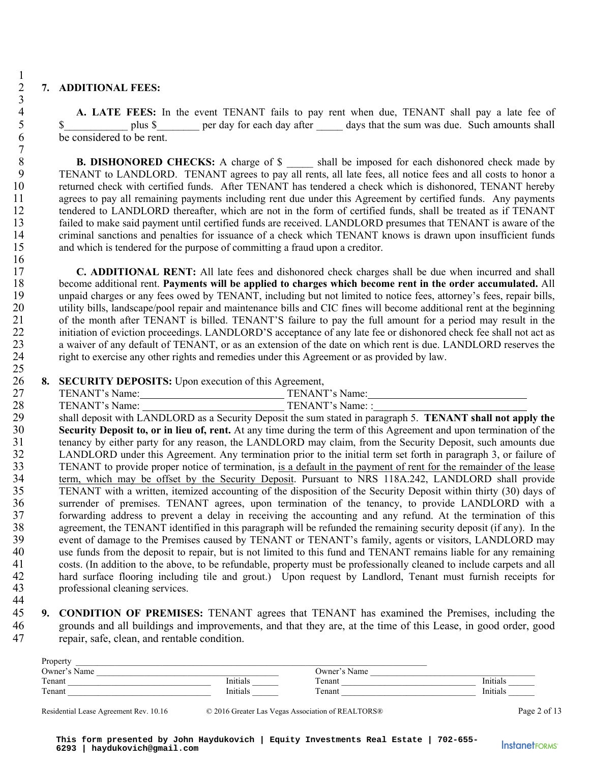# 2 **7. ADDITIONAL FEES:**

 $\frac{1}{2}$ 

 $\frac{3}{4}$ 

 $\begin{array}{c} 7 \\ 8 \end{array}$ 

 $\frac{16}{17}$ 

25

4 **A. LATE FEES:** In the event TENANT fails to pay rent when due, TENANT shall pay a late fee of plus \$ per day for each day after days that the sum was due. Such amounts shall \$ plus \$ per day for each day after days that the sum was due. Such amounts shall 6 be considered to be rent.

**B. DISHONORED CHECKS:** A charge of \$ \_\_\_\_\_ shall be imposed for each dishonored check made by 9 TENANT to LANDLORD. TENANT agrees to pay all rents, all late fees, all notice fees and all costs to honor a<br>10 returned check with certified funds. After TENANT has tendered a check which is dishonored. TENANT hereby 10 returned check with certified funds. After TENANT has tendered a check which is dishonored, TENANT hereby 11 agrees to pay all remaining payments including rent due under this Agreement by certified funds. Any payments 12 tendered to LANDLORD thereafter, which are not in the form of certified funds, shall be treated as if TENANT 13 failed to make said payment until certified funds are received. LANDLORD presumes that TENANT is aware of the 14 criminal sanctions and penalties for issuance of a check which TENANT knows is drawn upon insufficient funds 15 and which is tendered for the purpose of committing a fraud upon a creditor.

17 **C. ADDITIONAL RENT:** All late fees and dishonored check charges shall be due when incurred and shall 18 become additional rent. **Payments will be applied to charges which become rent in the order accumulated.** All 19 unpaid charges or any fees owed by TENANT, including but not limited to notice fees, attorney's fees, repair bills, 20 utility bills, landscape/pool repair and maintenance bills and CIC fines will become additional rent at the beginning<br>21 of the month after TENANT is billed. TENANT'S failure to pay the full amount for a period may resu 21 of the month after TENANT is billed. TENANT'S failure to pay the full amount for a period may result in the 22 initiation of eviction proceedings. LANDLORD'S acceptance of any late fee or dishonored check fee shall not act as<br>23 a waiver of any default of TENANT, or as an extension of the date on which rent is due. LANDLORD rese 23 a waiver of any default of TENANT, or as an extension of the date on which rent is due. LANDLORD reserves the right to exercise any other rights and remedies under this Agreement or as provided by law. right to exercise any other rights and remedies under this Agreement or as provided by law.

26 **8. SECURITY DEPOSITS:** Upon execution of this Agreement,

27 TENANT's Name: TENANT's Name: TENANT's Name:

28 TENANT's Name: TENANT's Name: : 29 shall deposit with LANDLORD as a Security Deposit the sum stated in paragraph 5. **TENANT shall not apply the** 30 **Security Deposit to, or in lieu of, rent.** At any time during the term of this Agreement and upon termina **Security Deposit to, or in lieu of, rent.** At any time during the term of this Agreement and upon termination of the tenancy by either party for any reason, the LANDLORD may claim, from the Security Deposit, such amounts 31 tenancy by either party for any reason, the LANDLORD may claim, from the Security Deposit, such amounts due 32 LANDLORD under this Agreement. Any termination prior to the initial term set forth in paragraph 3, or failure of 33 TENANT to provide proper notice of termination, is a default in the payment of rent for the remainder of the lease 34 term, which may be offset by the Security Deposit. Pursuant to NRS 118A.242, LANDLORD shall provide<br>35 TENANT with a written, itemized accounting of the disposition of the Security Deposit within thirty (30) days of 35 TENANT with a written, itemized accounting of the disposition of the Security Deposit within thirty (30) days of 36 surrender of premises. TENANT agrees, upon termination of the tenancy, to provide LANDLORD with a<br>37 forwarding address to prevent a delay in receiving the accounting and any refund. At the termination of this forwarding address to prevent a delay in receiving the accounting and any refund. At the termination of this 38 agreement, the TENANT identified in this paragraph will be refunded the remaining security deposit (if any). In the 39 event of damage to the Premises caused by TENANT or TENANT's family, agents or visitors, LANDLORD may<br>40 use funds from the deposit to repair, but is not limited to this fund and TENANT remains liable for any remaining use funds from the deposit to repair, but is not limited to this fund and TENANT remains liable for any remaining 41 costs. (In addition to the above, to be refundable, property must be professionally cleaned to include carpets and all 42 hard surface flooring including tile and grout.) Upon request by Landlord, Tenant must furnish receipts for 43 professional cleaning services.

44

45 **9. CONDITION OF PREMISES:** TENANT agrees that TENANT has examined the Premises, including the 46 grounds and all buildings and improvements, and that they are, at the time of this Lease, in good order, good 47 repair, safe, clean, and rentable condition.

| Property                               |          |                                                   |              |
|----------------------------------------|----------|---------------------------------------------------|--------------|
| Owner's Name                           |          | Owner's Name                                      |              |
| Tenant                                 | Initials | Tenant                                            | Initials     |
| Tenant                                 | Initials | Tenant                                            | Initials     |
|                                        |          |                                                   |              |
| Residential Lease Agreement Rev. 10.16 |          | © 2016 Greater Las Vegas Association of REALTORS® | Page 2 of 13 |

**This form presented by John Haydukovich | Equity Investments Real Estate | 702-655- 6293 | haydukovich@gmail.com**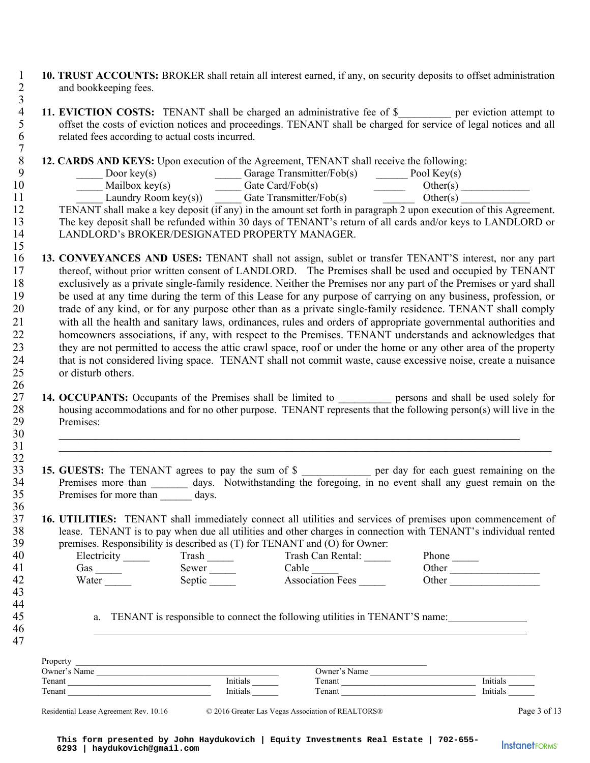- 1 **10. TRUST ACCOUNTS:** BROKER shall retain all interest earned, if any, on security deposits to offset administration and bookkeeping fees. and bookkeeping fees.
- $\frac{3}{4}$ 11. EVICTION COSTS: TENANT shall be charged an administrative fee of \$<sub>\_\_\_\_\_\_</sub> per eviction attempt to offset the costs of eviction notices and proceedings. TENANT shall be charged for service of legal notices and all 5 offset the costs of eviction notices and proceedings. TENANT shall be charged for service of legal notices and all 6 related fees according to actual costs incurred. 7

8 **12. CARDS AND KEYS:** Upon execution of the Agreement, TENANT shall receive the following:<br>9 **12. CARDS AND KEYS:** Upon execution of the Agreement, TENANT shall receive the following:

9 \_\_\_\_\_ Door key(s) \_\_\_\_\_ Garage Transmitter/Fob(s) \_\_\_\_\_\_ Pool Key(s) 10 Mailbox key(s) Gate Card/Fob(s) Other(s) 11 Laundry Room key(s)) Gate Transmitter/Fob(s) Cher(s)

12 TENANT shall make a key deposit (if any) in the amount set forth in paragraph 2 upon execution of this Agreement. 13 The key deposit shall be refunded within 30 days of TENANT's return of all cards and/or keys to LANDLORD or<br>14 LANDLORD's BROKER/DESIGNATED PROPERTY MANAGER. 14 LANDLORD's BROKER/DESIGNATED PROPERTY MANAGER.

- 15 16 **13. CONVEYANCES AND USES:** TENANT shall not assign, sublet or transfer TENANT'S interest, nor any part 17 thereof, without prior written consent of LANDLORD. The Premises shall be used and occupied by TENANT 18 exclusively as a private single-family residence. Neither the Premises nor any part of the Premises or yard shall 19 be used at any time during the term of this Lease for any purpose of carrying on any business, profession, or 20 trade of any kind, or for any purpose other than as a private single-family residence. TENANT shall comply 21 with all the health and sanitary laws, ordinances, rules and orders of appropriate governmental authorities and 22 homeowners associations, if any, with respect to the Premises. TENANT understands and acknowledges that 23 they are not permitted to access the attic crawl space, roof or under the home or any other area of the property 24 that is not considered living space. TENANT shall not commit waste, cause excessive noise, create a nuisance 25 or disturb others.
- $\frac{26}{27}$ 27 **14. OCCUPANTS:** Occupants of the Premises shall be limited to <u>example</u> persons and shall be used solely for housing accommodations and for no other purpose. TENANT represents that the following person(s) will live in housing accommodations and for no other purpose. TENANT represents that the following person(s) will live in the 29 Premises: 30 **\_\_\_\_\_\_\_\_\_\_\_\_\_\_\_\_\_\_\_\_\_\_\_\_\_\_\_\_\_\_\_\_\_\_\_\_\_\_\_\_\_\_\_\_\_\_\_\_\_\_\_\_\_\_\_\_\_\_\_\_\_\_\_\_\_\_\_\_\_\_\_\_\_\_\_\_\_\_\_\_\_\_\_\_\_\_\_**

31 **\_\_\_\_\_\_\_\_\_\_\_\_\_\_\_\_\_\_\_\_\_\_\_\_\_\_\_\_\_\_\_\_\_\_\_\_\_\_\_\_\_\_\_\_\_\_\_\_\_\_\_\_\_\_\_\_\_\_\_\_\_\_\_\_\_\_\_\_\_\_\_\_\_\_\_\_\_\_\_\_\_\_\_\_\_\_\_\_\_\_\_\_\_**

- $32$ <br> $33$ 33 **15. GUESTS:** The TENANT agrees to pay the sum of \$ \_\_\_\_\_\_\_\_\_\_\_\_\_ per day for each guest remaining on the 34 Premises more than \_\_\_\_\_\_\_ days. Notwithstanding the foregoing, in no event shall any guest remain on the 35 Premises for more than days. 36
- 37 **16. UTILITIES:** TENANT shall immediately connect all utilities and services of premises upon commencement of lease. TENANT is to pay when due all utilities and other charges in connection with TENANT's individual rente 38 lease. TENANT is to pay when due all utilities and other charges in connection with TENANT's individual rented<br>39 nemises. Responsibility is described as (T) for TENANT and (O) for Owner: premises. Responsibility is described as (T) for TENANT and (O) for Owner:

| 40     | $H$ lectricity | -rash  | $\text{Trash Can Rental}$ | Phone. |
|--------|----------------|--------|---------------------------|--------|
| 41     | fas            | sewer  | `able                     | )ther  |
| 42     | Water          | sentic | Association Fees          | )ther  |
| $\sim$ |                |        |                           |        |

43 44

> 46 47

45 a. TENANT is responsible to connect the following utilities in TENANT'S name:

| Property     |          |              |          |
|--------------|----------|--------------|----------|
| Owner's Name |          | Owner's Name |          |
| Tenant       | Initials | Tenant       | Initials |
| Tenant       | Initials | Tenant       | Initials |
|              |          |              |          |

Residential Lease Agreement Rev. 10.16 © 2016 Greater Las Vegas Association of REALTORS® Page 3 of 13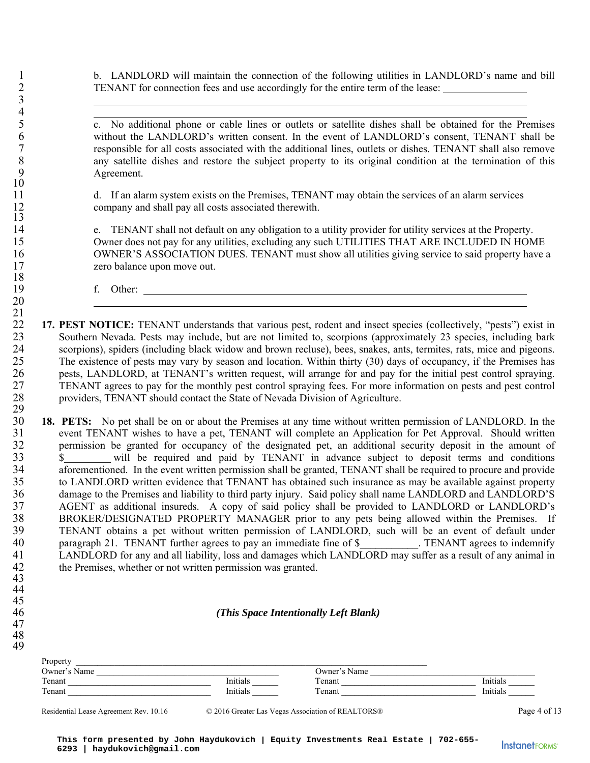1 b. LANDLORD will maintain the connection of the following utilities in LANDLORD's name and bill 2 TENANT for connection fees and use accordingly for the entire term of the lease:

5 c. No additional phone or cable lines or outlets or satellite dishes shall be obtained for the Premises 6 without the LANDLORD's written consent. In the event of LANDLORD's consent, TENANT shall be 7 responsible for all costs associated with the additional lines, outlets or dishes. TENANT shall also remove<br>8 any satellite dishes and restore the subject property to its original condition at the termination of this 8 any satellite dishes and restore the subject property to its original condition at the termination of this Agreement. Agreement.

11 d. If an alarm system exists on the Premises, TENANT may obtain the services of an alarm services 12 company and shall pay all costs associated therewith.

14 e. TENANT shall not default on any obligation to a utility provider for utility services at the Property. 15 Owner does not pay for any utilities, excluding any such UTILITIES THAT ARE INCLUDED IN HOME 16 OWNER'S ASSOCIATION DUES. TENANT must show all utilities giving service to said property have a 17 zero balance upon move out.

19 f. Other:

 $\frac{21}{22}$ 22 **17. PEST NOTICE:** TENANT understands that various pest, rodent and insect species (collectively, "pests") exist in Southern Nevada. Pests may include, but are not limited to, scorpions (approximately 23 species, includ 23 Southern Nevada. Pests may include, but are not limited to, scorpions (approximately 23 species, including bark 24 scorpions), spiders (including black widow and brown recluse), bees, snakes, ants, termites, rats, mice and pigeons.<br>25 The existence of pests may vary by season and location. Within thirty (30) days of occupancy, if th 25 The existence of pests may vary by season and location. Within thirty (30) days of occupancy, if the Premises has<br>26 Dests. LANDLORD, at TENANT's written request, will arrange for and pay for the initial pest control sp 26 pests, LANDLORD, at TENANT's written request, will arrange for and pay for the initial pest control spraying.<br>27 TENANT agrees to pay for the monthly pest control spraying fees. For more information on pests and pest co 27 TENANT agrees to pay for the monthly pest control spraying fees. For more information on pests and pest control 28 providers, TENANT should contact the State of Nevada Division of Agriculture.

 $rac{29}{30}$ 30 **18. PETS:** No pet shall be on or about the Premises at any time without written permission of LANDLORD. In the 31 event TENANT wishes to have a pet, TENANT will complete an Application for Pet Approval. Should written<br>32 permission be granted for occupancy of the designated pet, an additional security deposit in the amount of 32 permission be granted for occupancy of the designated pet, an additional security deposit in the amount of  $\frac{33}{10}$  s will be required and paid by TENANT in advance subject to deposit terms and conditions  $\frac{\S}{\S}$  will be required and paid by TENANT in advance subject to deposit terms and conditions aforementioned. In the event written permission shall be granted. TENANT shall be required to procure and provide aforementioned. In the event written permission shall be granted, TENANT shall be required to procure and provide 35 to LANDLORD written evidence that TENANT has obtained such insurance as may be available against property 36 damage to the Premises and liability to third party injury. Said policy shall name LANDLORD and LANDLORD'S<br>37 AGENT as additional insureds. A copy of said policy shall be provided to LANDLORD or LANDLORD's 37 AGENT as additional insureds. A copy of said policy shall be provided to LANDLORD or LANDLORD's<br>38 BROKER/DESIGNATED PROPERTY MANAGER prior to any pets being allowed within the Premises. If BROKER/DESIGNATED PROPERTY MANAGER prior to any pets being allowed within the Premises. If 39 TENANT obtains a pet without written permission of LANDLORD, such will be an event of default under 40 paragraph 21. TENANT further agrees to pay an immediate fine of \$\_\_\_\_\_\_\_\_\_\_. TENANT agrees to indemnify<br>41 LANDLORD for any and all liability, loss and damages which LANDLORD may suffer as a result of any animal in 41 LANDLORD for any and all liability, loss and damages which LANDLORD may suffer as a result of any animal in the Premises, whether or not written permission was granted. the Premises, whether or not written permission was granted.

#### 43 44

3  $rac{4}{5}$ 

10

13

18

20

45

47 48

49

# 46 *(This Space Intentionally Left Blank)*

| Property     |          |              |          |
|--------------|----------|--------------|----------|
| Owner's Name |          | Owner's Name |          |
| Tenant       | Initials | Tenant       | Initials |
| Tenant       | Initials | Tenant       | Initials |

Residential Lease Agreement Rev. 10.16 © 2016 Greater Las Vegas Association of REALTORS® Page 4 of 13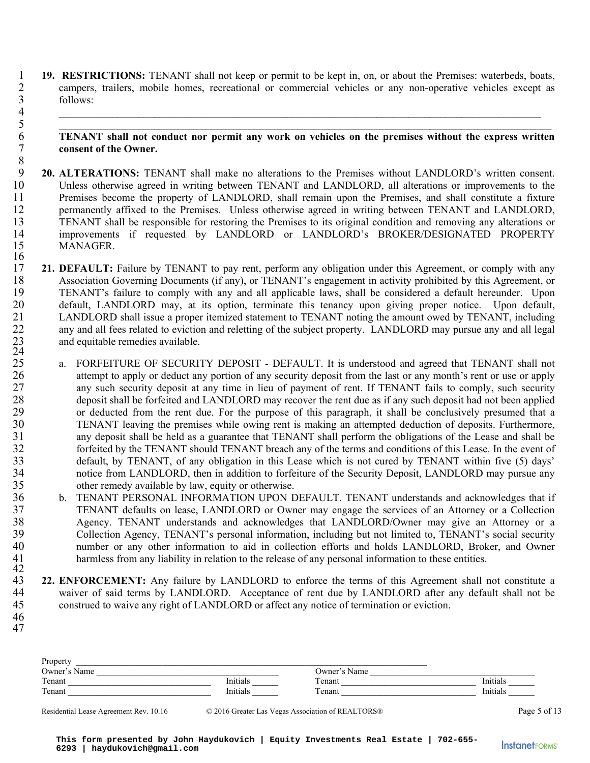1 **19. RESTRICTIONS:** TENANT shall not keep or permit to be kept in, on, or about the Premises: waterbeds, boats, campers, trailers, mobile homes, recreational or commercial vehicles or any non-operative vehicles except as 2 campers, trailers, mobile homes, recreational or commercial vehicles or any non-operative vehicles except as<br>5 follows: 3 follows:

 $4$ 

### 5 \_\_\_\_\_\_\_\_\_\_\_\_\_\_\_\_\_\_\_\_\_\_\_\_\_\_\_\_\_\_\_\_\_\_\_\_\_\_\_\_\_\_\_\_\_\_\_\_\_\_\_\_\_\_\_\_\_\_\_\_\_\_\_\_\_\_\_\_\_\_\_\_\_\_\_\_\_\_\_\_\_\_\_\_\_\_\_\_\_\_\_\_\_ 6 **TENANT shall not conduct nor permit any work on vehicles on the premises without the express written**  consent of the Owner.

- 8 20. ALTERATIONS: TENANT shall make no alterations to the Premises without LANDLORD's written consent.<br>10 Unless otherwise agreed in writing between TENANT and LANDLORD, all alterations or improvements to the Unless otherwise agreed in writing between TENANT and LANDLORD, all alterations or improvements to the 11 Premises become the property of LANDLORD, shall remain upon the Premises, and shall constitute a fixture 12 permanently affixed to the Premises. Unless otherwise agreed in writing between TENANT and LANDLORD, 13 TENANT shall be responsible for restoring the Premises to its original condition and removing any alterations or<br>14 improvements if requested by LANDLORD or LANDLORD's BROKER/DESIGNATED PROPERTY improvements if requested by LANDLORD or LANDLORD's BROKER/DESIGNATED PROPERTY 15 MANAGER.
- $\frac{16}{17}$ 21. DEFAULT: Failure by TENANT to pay rent, perform any obligation under this Agreement, or comply with any 18 Association Governing Documents (if any), or TENANT's engagement in activity prohibited by this Agreement, or<br>19 TENANT's failure to comply with any and all applicable laws, shall be considered a default hereunder. Upon 19 TENANT's failure to comply with any and all applicable laws, shall be considered a default hereunder. Upon<br>20 default, LANDLORD may, at its option, terminate this tenancy upon giving proper notice. Upon default, default, LANDLORD may, at its option, terminate this tenancy upon giving proper notice. Upon default, 21 LANDLORD shall issue a proper itemized statement to TENANT noting the amount owed by TENANT, including 22 any and all fees related to eviction and reletting of the subject property. LANDLORD may pursue any and all legal and equitable remedies available.  $\frac{23}{24}$ <br>25
- a. FORFEITURE OF SECURITY DEPOSIT DEFAULT. It is understood and agreed that TENANT shall not 26 attempt to apply or deduct any portion of any security deposit from the last or any month's rent or use or apply<br>27 any such security deposit at any time in lieu of payment of rent. If TENANT fails to comply, such secur any such security deposit at any time in lieu of payment of rent. If TENANT fails to comply, such security 28 deposit shall be forfeited and LANDLORD may recover the rent due as if any such deposit had not been applied 29 or deducted from the rent due. For the purpose of this paragraph, it shall be conclusively presumed that a<br>20 TENANT leaving the premises while owing rent is making an attempted deduction of deposits. Furthermore, 30 TENANT leaving the premises while owing rent is making an attempted deduction of deposits. Furthermore,<br>31 any deposit shall be held as a guarantee that TENANT shall perform the obligations of the Lease and shall be any deposit shall be held as a guarantee that TENANT shall perform the obligations of the Lease and shall be 32 forfeited by the TENANT should TENANT breach any of the terms and conditions of this Lease. In the event of<br>33 default, by TENANT, of any obligation in this Lease which is not cured by TENANT within five (5) days' default, by TENANT, of any obligation in this Lease which is not cured by TENANT within five (5) days' 34 notice from LANDLORD, then in addition to forfeiture of the Security Deposit, LANDLORD may pursue any other remedy available by law, equity or otherwise. other remedy available by law, equity or otherwise.
- 36 b. TENANT PERSONAL INFORMATION UPON DEFAULT. TENANT understands and acknowledges that if 37 TENANT defaults on lease, LANDLORD or Owner may engage the services of an Attorney or a Collection 38 Agency. TENANT understands and acknowledges that LANDLORD/Owner may give an Attorney or a<br>39 Collection Agency. TENANT's personal information, including but not limited to, TENANT's social security 39 Collection Agency, TENANT's personal information, including but not limited to, TENANT's social security<br>40 mumber or any other information to aid in collection efforts and holds LANDLORD. Broker, and Owner 40 number or any other information to aid in collection efforts and holds LANDLORD, Broker, and Owner<br>41 harmless from any liability in relation to the release of any personal information to these entities. harmless from any liability in relation to the release of any personal information to these entities.
- 43 **22. ENFORCEMENT:** Any failure by LANDLORD to enforce the terms of this Agreement shall not constitute a 44 waiver of said terms by LANDLORD. Acceptance of rent due by LANDLORD after any default shall not be<br>45 construed to waive any right of LANDLORD or affect any notice of termination or eviction. construed to waive any right of LANDLORD or affect any notice of termination or eviction.
- 46 47

42

| Property     |          |              |          |
|--------------|----------|--------------|----------|
| Owner's Name |          | Owner's Name |          |
| Tenant       | Initials | Tenant       | Initials |
| Tenant       | Initials | Tenant       | Initials |
|              |          |              |          |

Residential Lease Agreement Rev. 10.16 © 2016 Greater Las Vegas Association of REALTORS® Page 5 of 13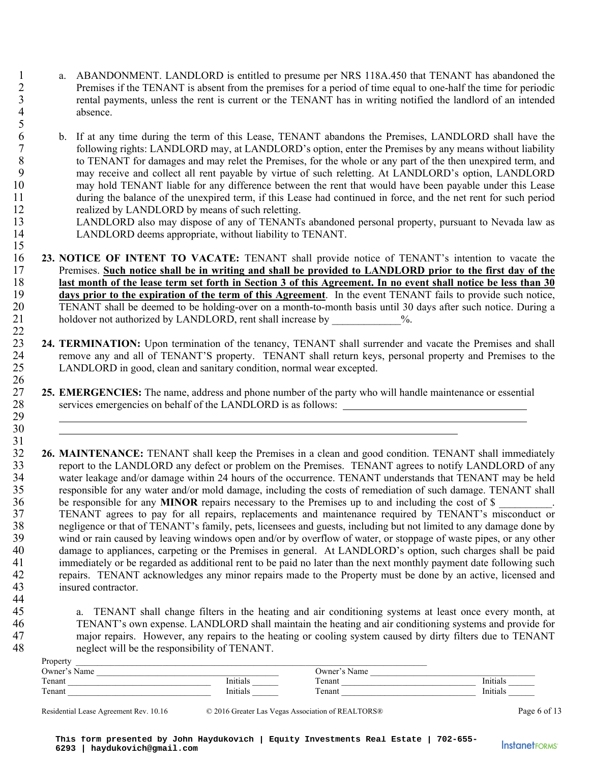- 1 a. ABANDONMENT. LANDLORD is entitled to presume per NRS 118A.450 that TENANT has abandoned the 2 Premises if the TENANT is absent from the premises for a period of time equal to one-half the time for periodic<br>3 extending payments, unless the rent is current or the TENANT has in writing notified the landlord of an in 3 rental payments, unless the rent is current or the TENANT has in writing notified the landlord of an intended absence. absence.
- 6 b. If at any time during the term of this Lease, TENANT abandons the Premises, LANDLORD shall have the 7 following rights: LANDLORD may, at LANDLORD's option, enter the Premises by any means without liability 8 to TENANT for damages and may relet the Premises, for the whole or any part of the then unexpired term, and<br>9 may receive and collect all rent payable by virtue of such reletting. At LANDLORD's option. LANDLORD may receive and collect all rent payable by virtue of such reletting. At LANDLORD's option, LANDLORD 10 may hold TENANT liable for any difference between the rent that would have been payable under this Lease 11 during the balance of the unexpired term, if this Lease had continued in force, and the net rent for such period 12 realized by LANDLORD by means of such reletting.
- 13 LANDLORD also may dispose of any of TENANTs abandoned personal property, pursuant to Nevada law as LANDLORD deems appropriate, without liability to TENANT. LANDLORD deems appropriate, without liability to TENANT.
- **23. NOTICE OF INTENT TO VACATE:** TENANT shall provide notice of TENANT's intention to vacate the Premises. Such notice shall be in writing and shall be provided to LANDLORD prior to the first day of the 17 Premises. **Such notice shall be in writing and shall be provided to LANDLORD prior to the first day of the**<br>18 **last month of the lease term set forth in Section 3 of this Agreement. In no event shall notice be less tha last month of the lease term set forth in Section 3 of this Agreement. In no event shall notice be less than 30** days prior to the expiration of the term of this Agreement. In the event TENANT fails to provide such notice days prior to the expiration of the term of this Agreement. In the event TENANT fails to provide such notice, 20 TENANT shall be deemed to be holding-over on a month-to-month basis until 30 days after such notice. During a holdover not authorized by LANDLORD, rent shall increase by  $\frac{96}{6}$ . holdover not authorized by LANDLORD, rent shall increase by  $\%$ .
- 24. **TERMINATION:** Upon termination of the tenancy, TENANT shall surrender and vacate the Premises and shall remove any and all of TENANT'S property. TENANT shall return keys, personal property and Premises to the 24 remove any and all of TENANT'S property. TENANT shall return keys, personal property and Premises to the LANDLORD in good, clean and sanitary condition, normal wear excepted. LANDLORD in good, clean and sanitary condition, normal wear excepted.
- $\frac{26}{27}$ 27 **25. EMERGENCIES:** The name, address and phone number of the party who will handle maintenance or essential services emergencies on behalf of the LANDLORD is as follows: services emergencies on behalf of the LANDLORD is as follows: 29
- $\frac{31}{32}$ **26. MAINTENANCE:** TENANT shall keep the Premises in a clean and good condition. TENANT shall immediately report to the LANDLORD any defect or problem on the Premises. TENANT agrees to notify LANDLORD of any 33 report to the LANDLORD any defect or problem on the Premises. TENANT agrees to notify LANDLORD of any<br>34 water leakage and/or damage within 24 hours of the occurrence. TENANT understands that TENANT may be held 34 water leakage and/or damage within 24 hours of the occurrence. TENANT understands that TENANT may be held<br>35 responsible for any water and/or mold damage, including the costs of remediation of such damage. TENANT shall responsible for any water and/or mold damage, including the costs of remediation of such damage. TENANT shall 36 be responsible for any **MINOR** repairs necessary to the Premises up to and including the cost of \$ 37 TENANT agrees to pay for all repairs, replacements and maintenance required by TENANT's misconduct or 38 negligence or that of TENANT's family, pets, licensees and guests, including but not limited to any damage done by<br>39 wind or rain caused by leaving windows open and/or by overflow of water, or stoppage of waste pipes, wind or rain caused by leaving windows open and/or by overflow of water, or stoppage of waste pipes, or any other 40 damage to appliances, carpeting or the Premises in general. At LANDLORD's option, such charges shall be paid 41 immediately or be regarded as additional rent to be paid no later than the next monthly payment date following such<br>42 repairs. TENANT acknowledges any minor repairs made to the Property must be done by an active. licen repairs. TENANT acknowledges any minor repairs made to the Property must be done by an active, licensed and 43 insured contractor.

45 a. TENANT shall change filters in the heating and air conditioning systems at least once every month, at 46 TENANT's own expense. LANDLORD shall maintain the heating and air conditioning systems and provide for<br>47 maior repairs. However, any repairs to the heating or cooling system caused by dirty filters due to TENANT 47 major repairs. However, any repairs to the heating or cooling system caused by dirty filters due to TENANT<br>48 meglect will be the responsibility of TENANT. neglect will be the responsibility of TENANT.

| Owner's Name |          | Owner's Name |          |
|--------------|----------|--------------|----------|
| Tenant       | Initials | Tenant       | Initials |
| Tenant       | Initials | Tenant       | Initials |

5

15

22

30

44

Residential Lease Agreement Rev. 10.16 © 2016 Greater Las Vegas Association of REALTORS® Page 6 of 13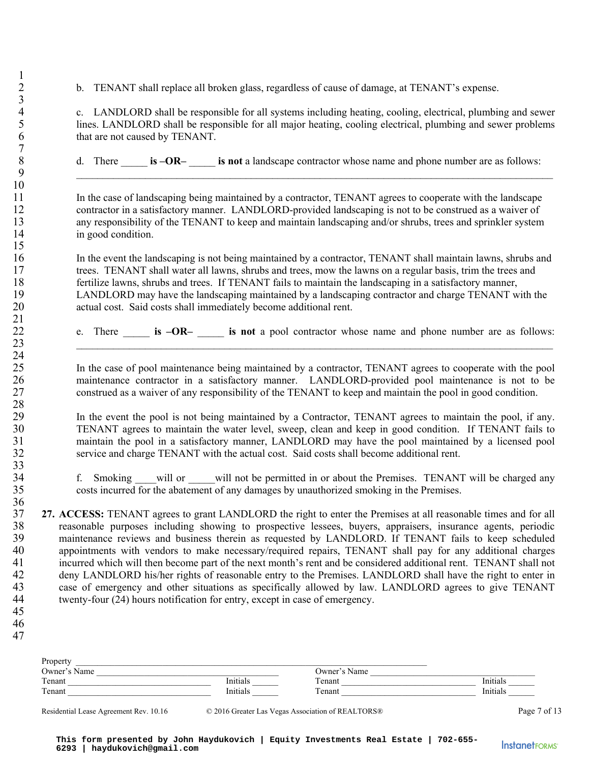2 b. TENANT shall replace all broken glass, regardless of cause of damage, at TENANT's expense.

4 c. LANDLORD shall be responsible for all systems including heating, cooling, electrical, plumbing and sewer<br>5 lines. LANDLORD shall be responsible for all major heating, cooling electrical, plumbing and sewer problems lines. LANDLORD shall be responsible for all major heating, cooling electrical, plumbing and sewer problems 6 that are not caused by TENANT.

8 d. There **is –OR– is not** a landscape contractor whose name and phone number are as follows: 9 \_\_\_\_\_\_\_\_\_\_\_\_\_\_\_\_\_\_\_\_\_\_\_\_\_\_\_\_\_\_\_\_\_\_\_\_\_\_\_\_\_\_\_\_\_\_\_\_\_\_\_\_\_\_\_\_\_\_\_\_\_\_\_\_\_\_\_\_\_\_\_\_\_\_\_\_\_\_\_\_\_\_\_\_\_\_\_\_\_\_

11 In the case of landscaping being maintained by a contractor, TENANT agrees to cooperate with the landscape 12 contractor in a satisfactory manner. LANDLORD-provided landscaping is not to be construed as a waiver of 13 any responsibility of the TENANT to keep and maintain landscaping and/or shrubs, trees and sprinkler system 14 in good condition.

16 In the event the landscaping is not being maintained by a contractor, TENANT shall maintain lawns, shrubs and 17 trees. TENANT shall water all lawns, shrubs and trees, mow the lawns on a regular basis, trim the trees and 18 fertilize lawns, shrubs and trees. If TENANT fails to maintain the landscaping in a satisfactory manner, 19 LANDLORD may have the landscaping maintained by a landscaping contractor and charge TENANT with the 20 actual cost. Said costs shall immediately become additional rent.

22 e. There \_\_\_\_\_ **is –OR–** \_\_\_\_\_ **is not** a pool contractor whose name and phone number are as follows:

23  $\frac{1}{2}$ 

25 In the case of pool maintenance being maintained by a contractor, TENANT agrees to cooperate with the pool 26 maintenance contractor in a satisfactory manner. LANDLORD-provided pool maintenance is not to be<br>27 construed as a waiver of any responsibility of the TENANT to keep and maintain the pool in good condition. construed as a waiver of any responsibility of the TENANT to keep and maintain the pool in good condition.

29 In the event the pool is not being maintained by a Contractor, TENANT agrees to maintain the pool, if any. 30 TENANT agrees to maintain the water level, sweep, clean and keep in good condition. If TENANT fails to 31 maintain the pool in a satisfactory manner, LANDLORD may have the pool maintained by a licensed pool 32 service and charge TENANT with the actual cost. Said costs shall become additional rent.

34 f. Smoking will or will not be permitted in or about the Premises. TENANT will be charged any costs incurred for the abatement of any damages by unauthorized smoking in the Premises. 35 costs incurred for the abatement of any damages by unauthorized smoking in the Premises.

- 37 **27. ACCESS:** TENANT agrees to grant LANDLORD the right to enter the Premises at all reasonable times and for all 38 reasonable purposes including showing to prospective lessees, buyers, appraisers, insurance agents, periodic<br>39 maintenance reviews and business therein as requested by LANDLORD. If TENANT fails to keep scheduled maintenance reviews and business therein as requested by LANDLORD. If TENANT fails to keep scheduled 40 appointments with vendors to make necessary/required repairs, TENANT shall pay for any additional charges 41 incurred which will then become part of the next month's rent and be considered additional rent. TENANT shall not<br>42 deny LANDLORD his/her rights of reasonable entry to the Premises. LANDLORD shall have the right to ent deny LANDLORD his/her rights of reasonable entry to the Premises. LANDLORD shall have the right to enter in 43 case of emergency and other situations as specifically allowed by law. LANDLORD agrees to give TENANT 44 twenty-four (24) hours notification for entry, except in case of emergency.
- 45

1

 $\frac{3}{4}$ 

7

10

15

21

24

28

33<br>34

36

46 47

| Property     |          |              |          |
|--------------|----------|--------------|----------|
| Owner's Name |          | Owner's Name |          |
| Tenant       | Initials | Tenant       | Initials |
| Tenant       | Initials | Γenant       | Initials |
|              |          |              |          |

Residential Lease Agreement Rev. 10.16 © 2016 Greater Las Vegas Association of REALTORS® Page 7 of 13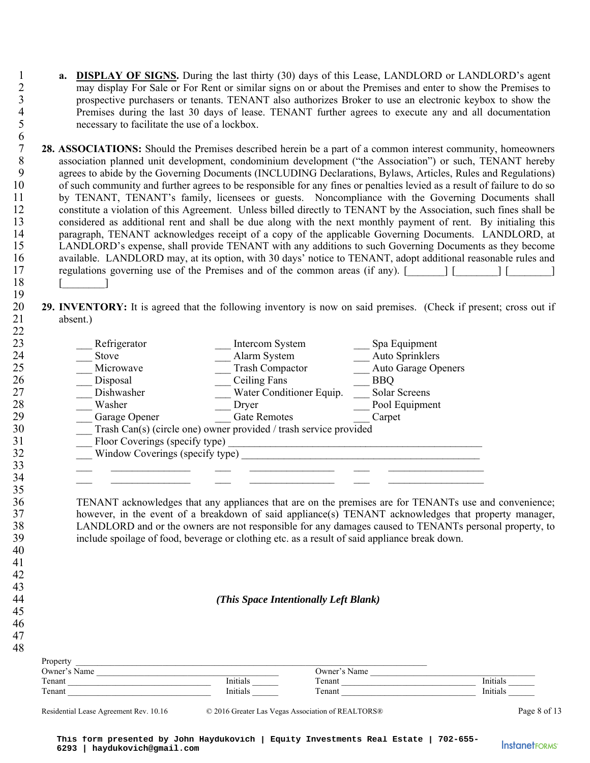1 **a. DISPLAY OF SIGNS.** During the last thirty (30) days of this Lease, LANDLORD or LANDLORD's agent may display For Sale or For Rent or similar signs on or about the Premises and enter to show the Premises to 2 may display For Sale or For Rent or similar signs on or about the Premises and enter to show the Premises to<br>3 prospective purchasers or tenants. TENANT also authorizes Broker to use an electronic keybox to show the 3 prospective purchasers or tenants. TENANT also authorizes Broker to use an electronic keybox to show the<br>4 Premises during the last 30 days of lease. TENANT further agrees to execute any and all documentation 4 Premises during the last 30 days of lease. TENANT further agrees to execute any and all documentation necessary to facilitate the use of a lockbox. necessary to facilitate the use of a lockbox.

 $\frac{6}{7}$ **28. ASSOCIATIONS:** Should the Premises described herein be a part of a common interest community, homeowners association planned unit development, condominium development ("the Association") or such, TENANT hereby 8 association planned unit development, condominium development ("the Association") or such, TENANT hereby<br>9 agrees to abide by the Governing Documents (INCLUDING Declarations, Bylaws, Articles, Rules and Regulations) agrees to abide by the Governing Documents (INCLUDING Declarations, Bylaws, Articles, Rules and Regulations) 10 of such community and further agrees to be responsible for any fines or penalties levied as a result of failure to do so 11 by TENANT, TENANT's family, licensees or guests. Noncompliance with the Governing Documents shall 12 constitute a violation of this Agreement. Unless billed directly to TENANT by the Association, such fines shall be 13 considered as additional rent and shall be due along with the next monthly payment of rent. By initialing this<br>14 narragraph. TENANT acknowledges receipt of a copy of the applicable Governing Documents. LANDLORD, at paragraph, TENANT acknowledges receipt of a copy of the applicable Governing Documents. LANDLORD, at 15 LANDLORD's expense, shall provide TENANT with any additions to such Governing Documents as they become 16 available. LANDLORD may, at its option, with 30 days' notice to TENANT, adopt additional reasonable rules and 17 regulations governing use of the Premises and of the common areas (if any). [1] 17 regulations governing use of the Premises and of the common areas (if any). [\_\_\_\_\_\_\_] [\_\_\_\_\_\_\_\_] [\_\_\_\_\_\_\_\_\_\_]  $18 \times 18$ 

# 20 **29. INVENTORY:** It is agreed that the following inventory is now on said premises. (Check if present; cross out if absent.) absent.)

| 23 | Refrigerator                    | Intercom System                                                   | Spa Equipment              |
|----|---------------------------------|-------------------------------------------------------------------|----------------------------|
| 24 | Stove                           | Alarm System                                                      | Auto Sprinklers            |
| 25 | Microwave                       | <b>Trash Compactor</b>                                            | <b>Auto Garage Openers</b> |
| 26 | Disposal                        | Ceiling Fans                                                      | <b>BBQ</b>                 |
| 27 | Dishwasher                      | Water Conditioner Equip.                                          | Solar Screens              |
| 28 | Washer                          | Dryer                                                             | Pool Equipment             |
| 29 | Garage Opener                   | <b>Gate Remotes</b>                                               | Carpet                     |
| 30 |                                 | Trash Can(s) (circle one) owner provided / trash service provided |                            |
| 31 | Floor Coverings (specify type)  |                                                                   |                            |
| 32 | Window Coverings (specify type) |                                                                   |                            |
| 33 |                                 |                                                                   |                            |
| 34 |                                 |                                                                   |                            |
| 35 |                                 |                                                                   |                            |

36 TENANT acknowledges that any appliances that are on the premises are for TENANTs use and convenience; 37 however, in the event of a breakdown of said appliance(s) TENANT acknowledges that property manager, 38 LANDLORD and or the owners are not responsible for any damages caused to TENANTs personal property, to 39 include spoilage of food, beverage or clothing etc. as a result of said appliance break down.

#### 44 *(This Space Intentionally Left Blank)*

| Property<br>Owner's Name |          | Owner's Name |          |
|--------------------------|----------|--------------|----------|
| Tenant                   | Initials | Tenant       | Initials |
| Tenant                   | Initials | Tenant       | Initials |

19

22

Residential Lease Agreement Rev. 10.16 © 2016 Greater Las Vegas Association of REALTORS® Page 8 of 13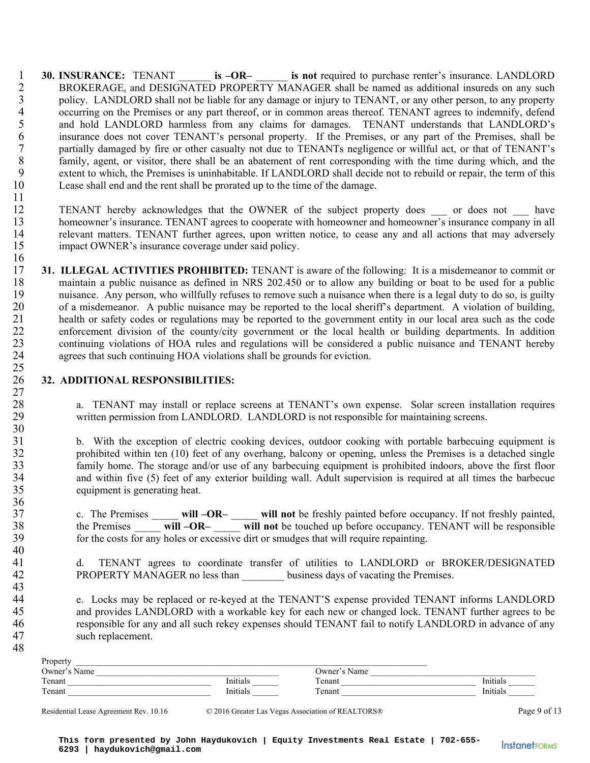- 1 **30. INSURANCE:** TENANT **is –OR– is not** required to purchase renter's insurance. LANDLORD<br>2 **BROKERAGE** and DESIGNATED PROPERTY MANAGER shall be named as additional insureds on any such 2 BROKERAGE, and DESIGNATED PROPERTY MANAGER shall be named as additional insureds on any such policy. LANDLORD shall not be liable for any damage or injury to TENANT, or any other person, to any property 3 policy. LANDLORD shall not be liable for any damage or injury to TENANT, or any other person, to any property<br>4 occurring on the Premises or any part thereof, or in common areas thereof. TENANT agrees to indemnify, defen 4 occurring on the Premises or any part thereof, or in common areas thereof. TENANT agrees to indemnify, defend<br>5 and hold LANDLORD harmless from any claims for damages. TENANT understands that LANDLORD's and hold LANDLORD harmless from any claims for damages. TENANT understands that LANDLORD's 6 insurance does not cover TENANT's personal property. If the Premises, or any part of the Premises, shall be 7 partially damaged by fire or other casualty not due to TENANTs negligence or willful act, or that of TENANT's 8 family, agent, or visitor, there shall be an abatement of rent corresponding with the time during which, and the extent to which, the Premises is uninhabitable. If LANDLORD shall decide not to rebuild or repair, the term extent to which, the Premises is uninhabitable. If LANDLORD shall decide not to rebuild or repair, the term of this 10 Lease shall end and the rent shall be prorated up to the time of the damage.
- 12 TENANT hereby acknowledges that the OWNER of the subject property does or does not have 13 homeowner's insurance. TENANT agrees to cooperate with homeowner and homeowner's insurance company in all<br>14 relevant matters. TENANT further agrees, upon written notice, to cease any and all actions that may adversely relevant matters. TENANT further agrees, upon written notice, to cease any and all actions that may adversely 15 impact OWNER's insurance coverage under said policy.
- $\frac{16}{17}$ 17 **31. ILLEGAL ACTIVITIES PROHIBITED:** TENANT is aware of the following: It is a misdemeanor to commit or maintain a public nuisance as defined in NRS 202.450 or to allow any building or boat to be used for a public 18 maintain a public nuisance as defined in NRS 202.450 or to allow any building or boat to be used for a public<br>19 muisance. Any person, who willfully refuses to remove such a nuisance when there is a legal duty to do so, nuisance. Any person, who willfully refuses to remove such a nuisance when there is a legal duty to do so, is guilty 20 of a misdemeanor. A public nuisance may be reported to the local sheriff's department. A violation of building,<br>21 health or safety codes or regulations may be reported to the government entity in our local area such as health or safety codes or regulations may be reported to the government entity in our local area such as the code 22 enforcement division of the county/city government or the local health or building departments. In addition 23 continuing violations of HOA rules and regulations will be considered a public nuisance and TENANT hereby<br>24 agrees that such continuing HOA violations shall be grounds for eviction. agrees that such continuing HOA violations shall be grounds for eviction. 25

#### 26 **32. ADDITIONAL RESPONSIBILITIES:**  27

11

30

36

40

43

48

28 a. TENANT may install or replace screens at TENANT's own expense. Solar screen installation requires written permission from LANDLORD. LANDLORD is not responsible for maintaining screens. written permission from LANDLORD. LANDLORD is not responsible for maintaining screens.

31 b. With the exception of electric cooking devices, outdoor cooking with portable barbecuing equipment is 32 prohibited within ten (10) feet of any overhang, balcony or opening, unless the Premises is a detached single 33 family home. The storage and/or use of any barbecuing equipment is prohibited indoors, above the first floor<br>34 and within five (5) feet of any exterior building wall. Adult supervision is required at all times the barb and within five (5) feet of any exterior building wall. Adult supervision is required at all times the barbecue 35 equipment is generating heat.

37 c. The Premises \_\_\_\_\_ **will –OR–** \_\_\_\_\_ **will not** be freshly painted before occupancy. If not freshly painted, 38 the Premises \_\_\_\_\_ **will –OR–** \_\_\_\_\_ **will not** be touched up before occupancy. TENANT will be responsible 39 for the costs for any holes or excessive dirt or smudges that will require repainting.

- 41 d. TENANT agrees to coordinate transfer of utilities to LANDLORD or BROKER/DESIGNATED 42 PROPERTY MANAGER no less than business days of vacating the Premises.
- 44 e. Locks may be replaced or re-keyed at the TENANT'S expense provided TENANT informs LANDLORD 45 and provides LANDLORD with a workable key for each new or changed lock. TENANT further agrees to be 46 responsible for any and all such rekey expenses should TENANT fail to notify LANDLORD in advance of any 47 such replacement.

| Initials |
|----------|
| Initials |
|          |

Residential Lease Agreement Rev. 10.16 © 2016 Greater Las Vegas Association of REALTORS® Page 9 of 13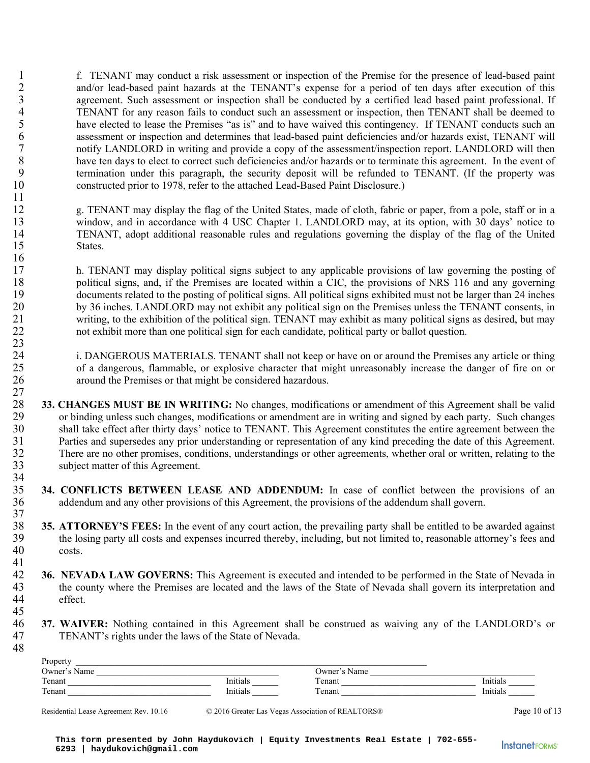1 f. TENANT may conduct a risk assessment or inspection of the Premise for the presence of lead-based paint 2 and/or lead-based paint hazards at the TENANT's expense for a period of ten days after execution of this<br>3 agreement. Such assessment or inspection shall be conducted by a certified lead based paint professional. If 3 agreement. Such assessment or inspection shall be conducted by a certified lead based paint professional. If<br>4 TENANT for any reason fails to conduct such an assessment or inspection, then TENANT shall be deemed to 4 TENANT for any reason fails to conduct such an assessment or inspection, then TENANT shall be deemed to<br>5 have elected to lease the Premises "as is" and to have waived this contingency. If TENANT conducts such an have elected to lease the Premises "as is" and to have waived this contingency. If TENANT conducts such an 6 assessment or inspection and determines that lead-based paint deficiencies and/or hazards exist, TENANT will 7 notify LANDLORD in writing and provide a copy of the assessment/inspection report. LANDLORD will then 8 have ten days to elect to correct such deficiencies and/or hazards or to terminate this agreement. In the event of termination under this paragraph, the security deposit will be refunded to TENANT. (If the property was termination under this paragraph, the security deposit will be refunded to TENANT. (If the property was 10 constructed prior to 1978, refer to the attached Lead-Based Paint Disclosure.)

12 g. TENANT may display the flag of the United States, made of cloth, fabric or paper, from a pole, staff or in a 13 window, and in accordance with 4 USC Chapter 1. LANDLORD may, at its option, with 30 days' notice to 14 TENANT, adopt additional reasonable rules and regulations governing the display of the flag of the United 15 States.

17 h. TENANT may display political signs subject to any applicable provisions of law governing the posting of 18 political signs, and, if the Premises are located within a CIC, the provisions of NRS 116 and any governing 19 documents related to the posting of political signs. All political signs exhibited must not be larger than 24 inches 20 by 36 inches. LANDLORD may not exhibit any political sign on the Premises unless the TENANT consents, in 21 writing, to the exhibition of the political sign. TENANT may exhibit as many political signs as desired, but may 22 not exhibit more than one political sign for each candidate, political party or ballot question.

24 i. DANGEROUS MATERIALS. TENANT shall not keep or have on or around the Premises any article or thing<br>25 of a dangerous, flammable, or explosive character that might unreasonably increase the danger of fire on or 25 of a dangerous, flammable, or explosive character that might unreasonably increase the danger of fire on or 26 around the Premises or that might be considered hazardous.

- $\frac{27}{28}$ 28 **33. CHANGES MUST BE IN WRITING:** No changes, modifications or amendment of this Agreement shall be valid or binding unless such changes, modifications or amendment are in writing and signed by each party. Such changes 29 or binding unless such changes, modifications or amendment are in writing and signed by each party. Such changes 30 shall take effect after thirty days' notice to TENANT. This Agreement constitutes the entire agreement between the<br>31 Parties and supersedes any prior understanding or representation of any kind preceding the date of th 31 Parties and supersedes any prior understanding or representation of any kind preceding the date of this Agreement.<br>32 There are no other promises, conditions, understandings or other agreements, whether oral or written, 32 There are no other promises, conditions, understandings or other agreements, whether oral or written, relating to the subject matter of this Agreement. subject matter of this Agreement.
- 34<br>35 35 **34. CONFLICTS BETWEEN LEASE AND ADDENDUM:** In case of conflict between the provisions of an 36 addendum and any other provisions of this Agreement, the provisions of the addendum shall govern. 37
- 35. **ATTORNEY'S FEES:** In the event of any court action, the prevailing party shall be entitled to be awarded against the losing party all costs and expenses incurred thereby, including, but not limited to, reasonable atto the losing party all costs and expenses incurred thereby, including, but not limited to, reasonable attorney's fees and 40 costs.
- $\frac{41}{42}$ 42 **36. NEVADA LAW GOVERNS:** This Agreement is executed and intended to be performed in the State of Nevada in the county where the Premises are located and the laws of the State of Nevada shall govern its interpretation a 43 the county where the Premises are located and the laws of the State of Nevada shall govern its interpretation and 44 effect.
- **37. WAIVER:** Nothing contained in this Agreement shall be construed as waiving any of the LANDLORD's or<br>47 TENANT's rights under the laws of the State of Nevada. TENANT's rights under the laws of the State of Nevada.

| Property     |          |              |          |
|--------------|----------|--------------|----------|
| Owner's Name |          | Owner's Name |          |
| Tenant       | Initials | Tenant       | Initials |
| Tenant       | Initials | Tenant       | Initials |
|              |          |              |          |

11

16

 $\frac{23}{24}$ 

45

48

Residential Lease Agreement Rev. 10.16 © 2016 Greater Las Vegas Association of REALTORS® Page 10 of 13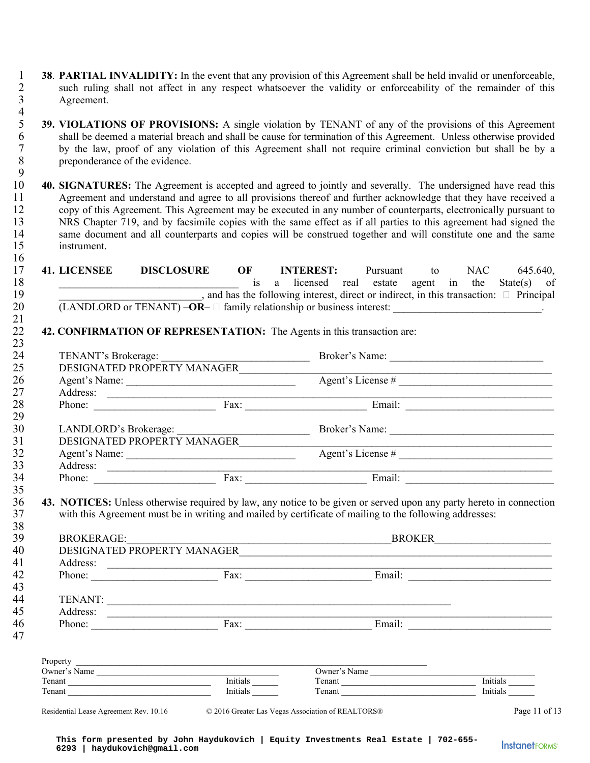- 1 **38. PARTIAL INVALIDITY:** In the event that any provision of this Agreement shall be held invalid or unenforceable,<br>2 such ruling shall not affect in any respect whatsoever the validity or enforceability of the remainder 2 such ruling shall not affect in any respect whatsoever the validity or enforceability of the remainder of this<br>3 Agreement. Agreement.
- $\frac{4}{5}$ 5 **39. VIOLATIONS OF PROVISIONS:** A single violation by TENANT of any of the provisions of this Agreement for this Agreement of this Agreement. Unless otherwise provided 6 shall be deemed a material breach and shall be cause for termination of this Agreement. Unless otherwise provided 7 by the law, proof of any violation of this Agreement shall not require criminal conviction but shall be by a preponderance of the evidence. preponderance of the evidence.
- $\frac{9}{10}$ 10 **40. SIGNATURES:** The Agreement is accepted and agreed to jointly and severally. The undersigned have read this 11 Agreement and understand and agree to all provisions thereof and further acknowledge that they have received a 12 copy of this Agreement. This Agreement may be executed in any number of counterparts, electronically pursuant to 13 NRS Chapter 719, and by facsimile copies with the same effect as if all parties to this agreement had signed the same document and all counterparts and copies will be construed together and will constitute one and the s same document and all counterparts and copies will be construed together and will constitute one and the same 15 instrument. 16

|                   | <u> 2000 - Antonio Alemania, prima prestava postala de la provincia de la provincia de la provincia de la provinc</u> | is a licensed real estate agent in the State(s) of |                   |  |  |
|-------------------|-----------------------------------------------------------------------------------------------------------------------|----------------------------------------------------|-------------------|--|--|
|                   | $\blacksquare$ , and has the following interest, direct or indirect, in this transaction: $\blacksquare$ Principal    |                                                    |                   |  |  |
|                   | $(LANDLORD$ or TENANT) $-OR$ $ \Box$ family relationship or business interest: $\Box$                                 |                                                    |                   |  |  |
|                   | 42. CONFIRMATION OF REPRESENTATION: The Agents in this transaction are:                                               |                                                    |                   |  |  |
|                   |                                                                                                                       |                                                    |                   |  |  |
|                   |                                                                                                                       |                                                    |                   |  |  |
|                   | Agent's Name: <u>Agent's License</u> #                                                                                |                                                    |                   |  |  |
|                   |                                                                                                                       |                                                    |                   |  |  |
|                   | Phone: Fax: Email:                                                                                                    |                                                    |                   |  |  |
|                   |                                                                                                                       |                                                    |                   |  |  |
|                   |                                                                                                                       |                                                    |                   |  |  |
|                   | DESIGNATED PROPERTY MANAGER                                                                                           |                                                    |                   |  |  |
|                   |                                                                                                                       |                                                    | Agent's License # |  |  |
|                   |                                                                                                                       |                                                    |                   |  |  |
|                   |                                                                                                                       |                                                    |                   |  |  |
|                   |                                                                                                                       |                                                    |                   |  |  |
|                   | 43. NOTICES: Unless otherwise required by law, any notice to be given or served upon any party hereto in connection   |                                                    |                   |  |  |
|                   | with this Agreement must be in writing and mailed by certificate of mailing to the following addresses:               |                                                    |                   |  |  |
|                   |                                                                                                                       |                                                    |                   |  |  |
| <b>BROKERAGE:</b> |                                                                                                                       |                                                    | <b>BROKER</b>     |  |  |

| Phone:       | Fax:     | Email:       |          |
|--------------|----------|--------------|----------|
|              |          |              |          |
| TENANT:      |          |              |          |
| Address:     |          |              |          |
| Phone:       | Fax:     | Email:       |          |
|              |          |              |          |
| Property     |          |              |          |
| Owner's Name |          | Owner's Name |          |
| Tenant       | Initials | Tenant       | Initials |
| Tenant       | Initials | Tenant       | Initials |

**InstanetFORMS**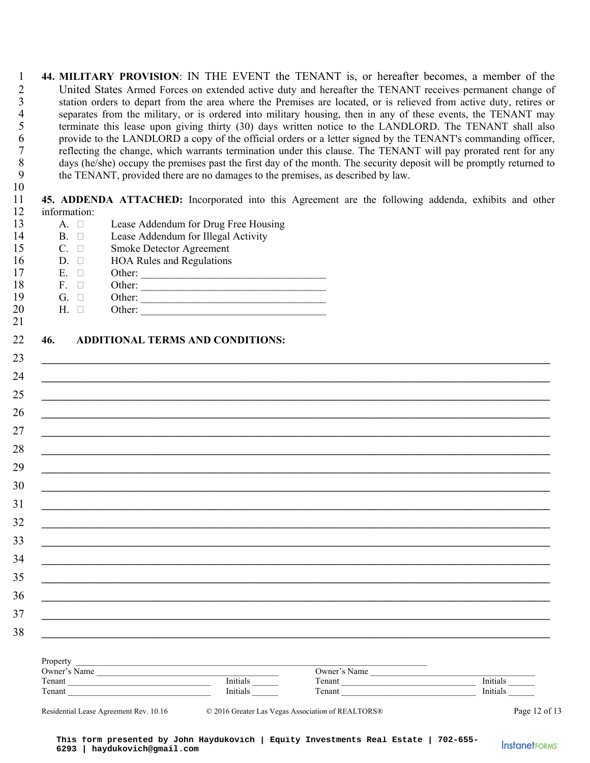1 **44. MILITARY PROVISION**: IN THE EVENT the TENANT is, or hereafter becomes, a member of the 2 United States Armed Forces on extended active duty and hereafter the TENANT receives permanent change of station orders to depart from the area where the Premises are located, or is relieved from active duty, retires or 3 station orders to depart from the area where the Premises are located, or is relieved from active duty, retires or<br>4 separates from the military, or is ordered into military housing, then in any of these events, the TENA 4 separates from the military, or is ordered into military housing, then in any of these events, the TENANT may<br>5 terminate this lease upon giving thirty (30) days written notice to the LANDLORD. The TENANT shall also 5 terminate this lease upon giving thirty (30) days written notice to the LANDLORD. The TENANT shall also provide to the LANDLORD a copy of the official orders or a letter signed by the TENANT's commanding officer, 6 provide to the LANDLORD a copy of the official orders or a letter signed by the TENANT's commanding officer,<br>
7 reflecting the change, which warrants termination under this clause. The TENANT will pay prorated rent for a 7 reflecting the change, which warrants termination under this clause. The TENANT will pay prorated rent for any days (he/she) occupy the premises past the first day of the month. The security deposit will be promptly retu 8 days (he/she) occupy the premises past the first day of the month. The security deposit will be promptly returned to<br>9 the TENANT, provided there are no damages to the premises, as described by law. the TENANT, provided there are no damages to the premises, as described by law. 10

11 **45. ADDENDA ATTACHED:** Incorporated into this Agreement are the following addenda, exhibits and other 12 information:

| 13 | A. $\square$ | Lease Addendum for Drug Free Housing    |
|----|--------------|-----------------------------------------|
| 14 | $B. \square$ | Lease Addendum for Illegal Activity     |
| 15 | $C. \square$ | Smoke Detector Agreement                |
| 16 | $D. \square$ | <b>HOA Rules and Regulations</b>        |
| 17 | $\Box$<br>Е. | Other:                                  |
| 18 | $F. \square$ | Other:                                  |
| 19 | $G. \square$ | Other:                                  |
| 20 | $H. \square$ | Other:                                  |
| 21 |              |                                         |
| 22 | 46.          | <b>ADDITIONAL TERMS AND CONDITIONS:</b> |
|    |              |                                         |
| 23 |              |                                         |
| 24 |              |                                         |

|                                                                                                                                                                                                                                                                                      | <u> 1989 - Johann Stoff, amerikansk politiker (d. 1989)</u>                                                           |              |                       |
|--------------------------------------------------------------------------------------------------------------------------------------------------------------------------------------------------------------------------------------------------------------------------------------|-----------------------------------------------------------------------------------------------------------------------|--------------|-----------------------|
|                                                                                                                                                                                                                                                                                      | <u> 1980 - Johann Johann Stoff, deutscher Stoffen und der Stoffen und der Stoffen und der Stoffen und der Stoffen</u> |              |                       |
|                                                                                                                                                                                                                                                                                      |                                                                                                                       |              |                       |
|                                                                                                                                                                                                                                                                                      |                                                                                                                       |              |                       |
|                                                                                                                                                                                                                                                                                      |                                                                                                                       |              |                       |
|                                                                                                                                                                                                                                                                                      |                                                                                                                       |              |                       |
|                                                                                                                                                                                                                                                                                      |                                                                                                                       |              |                       |
|                                                                                                                                                                                                                                                                                      |                                                                                                                       |              |                       |
|                                                                                                                                                                                                                                                                                      |                                                                                                                       |              |                       |
|                                                                                                                                                                                                                                                                                      | <u> 1990 - Johann Stoff, amerikan bestein de stad in de stad in de stad in de stad in de stad in de stad in de st</u> |              |                       |
|                                                                                                                                                                                                                                                                                      |                                                                                                                       |              |                       |
|                                                                                                                                                                                                                                                                                      |                                                                                                                       |              |                       |
|                                                                                                                                                                                                                                                                                      |                                                                                                                       |              |                       |
|                                                                                                                                                                                                                                                                                      | <u> 1989 - Johann Stoff, deutscher Stoff, der Stoff, der Stoff, der Stoff, der Stoff, der Stoff, der Stoff, der S</u> |              |                       |
|                                                                                                                                                                                                                                                                                      |                                                                                                                       |              |                       |
|                                                                                                                                                                                                                                                                                      |                                                                                                                       |              |                       |
| Property and the contract of the contract of the contract of the contract of the contract of the contract of the contract of the contract of the contract of the contract of the contract of the contract of the contract of t                                                       |                                                                                                                       |              |                       |
| Owner's Name<br>Tenant<br>Tenant<br>Tenant<br>Tenant<br>Tenant<br>Tenant<br>Tenant<br>Tenant<br>Tenant<br>Tenant<br>Tenant<br>Tenant<br>Tenant<br>Tenant<br>Tenant<br>Tenant<br>Tenant<br>Tenant<br>Tenant<br>Tenant<br>Tenant<br>Tenant<br>Tenant<br>Tenant<br>Tenant<br>Tenant<br> |                                                                                                                       | Owner's Name |                       |
|                                                                                                                                                                                                                                                                                      |                                                                                                                       | Tenant       | Initials              |
|                                                                                                                                                                                                                                                                                      |                                                                                                                       | Tenant       | Initials <sup>1</sup> |

**InstanetFORMS**